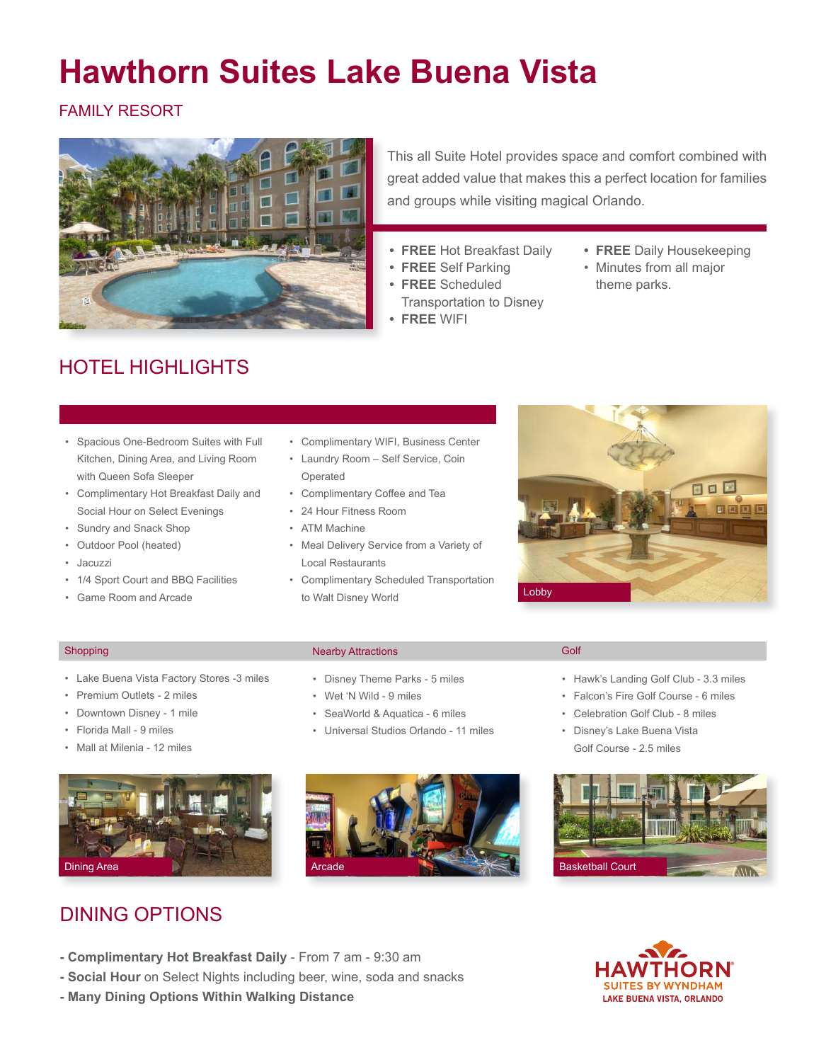# **Hawthorn Suites Lake Buena Vista**

FAMILY RESORT



This all Suite Hotel provides space and comfort combined with great added value that makes this a perfect location for families and groups while visiting magical Orlando.

- **• FREE** Hot Breakfast Daily
- **• FREE** Self Parking
- **• FREE** Scheduled Transportation to Disney
- **• FREE** WIFI
- **• FREE** Daily Housekeeping
- • Minutes from all major theme parks.

# HOTEL HIGHLIGHTS

- • Spacious One-Bedroom Suites with Full Kitchen, Dining Area, and Living Room with Queen Sofa Sleeper
- • Complimentary Hot Breakfast Daily and Social Hour on Select Evenings
- • Sundry and Snack Shop
- • Outdoor Pool (heated)
- • Jacuzzi
- 1/4 Sport Court and BBQ Facilities
- • Game Room and Arcade
- • Complimentary WIFI, Business Center
- • Laundry Room Self Service, Coin Operated
- • Complimentary Coffee and Tea
- 24 Hour Fitness Room
- • ATM Machine
- • Meal Delivery Service from a Variety of Local Restaurants
- • Complimentary Scheduled Transportation to Walt Disney World



- • Lake Buena Vista Factory Stores -3 miles
- • Premium Outlets 2 miles
- • Downtown Disney 1 mile
- • Florida Mall 9 miles
- • Mall at Milenia 12 miles



### DINING OPTIONS

- Shopping Golf Nearby Attractions
	- • Disney Theme Parks 5 miles
	- • Wet 'N Wild 9 miles
	- • SeaWorld & Aquatica 6 miles
	- • Universal Studios Orlando 11 miles



- • Hawk's Landing Golf Club 3.3 miles
- • Falcon's Fire Golf Course 6 miles
- • Celebration Golf Club 8 miles
- • Disney's Lake Buena Vista Golf Course - 2.5 miles



- **Complimentary Hot Breakfast Daily** From 7 am 9:30 am
- **Social Hour** on Select Nights including beer, wine, soda and snacks
- **Many Dining Options Within Walking Distance**